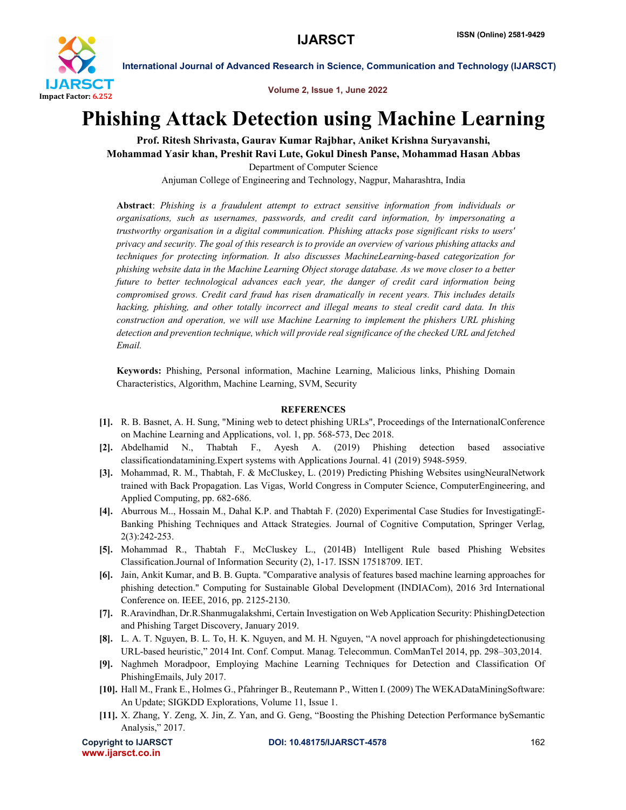

International Journal of Advanced Research in Science, Communication and Technology (IJARSCT)

Volume 2, Issue 1, June 2022

## Phishing Attack Detection using Machine Learning

Prof. Ritesh Shrivasta, Gaurav Kumar Rajbhar, Aniket Krishna Suryavanshi, Mohammad Yasir khan, Preshit Ravi Lute, Gokul Dinesh Panse, Mohammad Hasan Abbas Department of Computer Science

Anjuman College of Engineering and Technology, Nagpur, Maharashtra, India

Abstract: *Phishing is a fraudulent attempt to extract sensitive information from individuals or organisations, such as usernames, passwords, and credit card information, by impersonating a trustworthy organisation in a digital communication. Phishing attacks pose significant risks to users' privacy and security. The goal of this research is to provide an overview of various phishing attacks and techniques for protecting information. It also discusses MachineLearning-based categorization for phishing website data in the Machine Learning Object storage database. As we move closer to a better future to better technological advances each year, the danger of credit card information being compromised grows. Credit card fraud has risen dramatically in recent years. This includes details hacking, phishing, and other totally incorrect and illegal means to steal credit card data. In this construction and operation, we will use Machine Learning to implement the phishers URL phishing detection and prevention technique, which will provide real significance of the checked URL and fetched Email.*

Keywords: Phishing, Personal information, Machine Learning, Malicious links, Phishing Domain Characteristics, Algorithm, Machine Learning, SVM, Security

## **REFERENCES**

- [1]. R. B. Basnet, A. H. Sung, "Mining web to detect phishing URLs", Proceedings of the InternationalConference on Machine Learning and Applications, vol. 1, pp. 568-573, Dec 2018.
- [2]. Abdelhamid N., Thabtah F., Ayesh A. (2019) Phishing detection based associative classificationdatamining.Expert systems with Applications Journal. 41 (2019) 5948-5959.
- [3]. Mohammad, R. M., Thabtah, F. & McCluskey, L. (2019) Predicting Phishing Websites usingNeuralNetwork trained with Back Propagation. Las Vigas, World Congress in Computer Science, ComputerEngineering, and Applied Computing, pp. 682-686.
- [4]. Aburrous M.., Hossain M., Dahal K.P. and Thabtah F. (2020) Experimental Case Studies for InvestigatingE-Banking Phishing Techniques and Attack Strategies. Journal of Cognitive Computation, Springer Verlag, 2(3):242-253.
- [5]. Mohammad R., Thabtah F., McCluskey L., (2014B) Intelligent Rule based Phishing Websites Classification.Journal of Information Security (2), 1-17. ISSN 17518709. IET.
- [6]. Jain, Ankit Kumar, and B. B. Gupta. "Comparative analysis of features based machine learning approaches for phishing detection." Computing for Sustainable Global Development (INDIACom), 2016 3rd International Conference on. IEEE, 2016, pp. 2125-2130.
- [7]. R.Aravindhan, Dr.R.Shanmugalakshmi, Certain Investigation on Web Application Security: PhishingDetection and Phishing Target Discovery, January 2019.
- [8]. L. A. T. Nguyen, B. L. To, H. K. Nguyen, and M. H. Nguyen, "A novel approach for phishingdetectionusing URL-based heuristic," 2014 Int. Conf. Comput. Manag. Telecommun. ComManTel 2014, pp. 298–303,2014.
- [9]. Naghmeh Moradpoor, Employing Machine Learning Techniques for Detection and Classification Of PhishingEmails, July 2017.
- [10]. Hall M., Frank E., Holmes G., Pfahringer B., Reutemann P., Witten I. (2009) The WEKADataMiningSoftware: An Update; SIGKDD Explorations, Volume 11, Issue 1.
- [11]. X. Zhang, Y. Zeng, X. Jin, Z. Yan, and G. Geng, "Boosting the Phishing Detection Performance bySemantic Analysis," 2017.

www.ijarsct.co.in